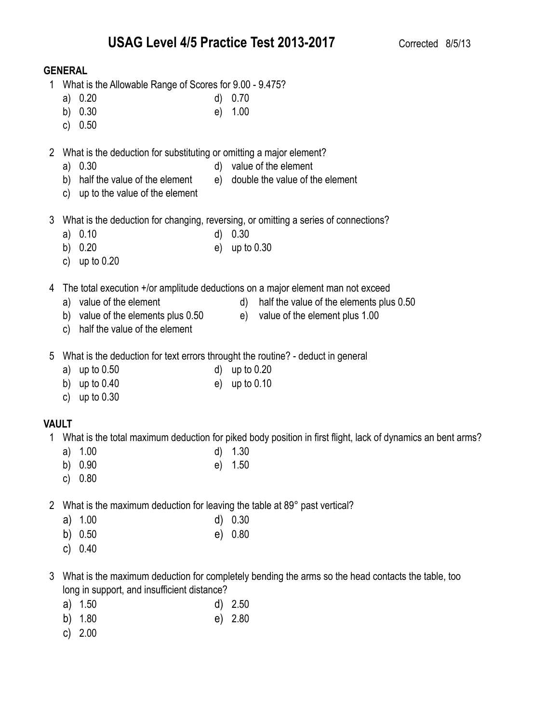### **GENERAL**

- 1 What is the Allowable Range of Scores for 9.00 9.475?
	- a) 0.20 d) 0.70
	- b) 0.30 e) 1.00
	- c) 0.50
- 2 What is the deduction for substituting or omitting a major element?
	- a) 0.30 d) value of the element
	- b) half the value of the element e) double the value of the element
	- c) up to the value of the element
- 3 What is the deduction for changing, reversing, or omitting a series of connections?
	- a) 0.10 d) 0.30
	- b) 0.20 e) up to 0.30
	- c) up to 0.20

4 The total execution +/or amplitude deductions on a major element man not exceed

- 
- a) value of the element d) half the value of the elements plus 0.50
- b) value of the elements plus 0.50 e) value of the element plus 1.00
- c) half the value of the element
- 
- 5 What is the deduction for text errors throught the routine? deduct in general
	- a) up to 0.50 d) up to 0.20
	- b) up to 0.40 e) up to 0.10
	- c) up to 0.30

# **VAULT**

- 1 What is the total maximum deduction for piked body position in first flight, lack of dynamics an bent arms?
	- a) 1.00 d) 1.30
	- b) 0.90 e) 1.50
	- c) 0.80
- 2 What is the maximum deduction for leaving the table at 89° past vertical?
	- a) 1.00 d) 0.30
	- b) 0.50 e) 0.80
	- c) 0.40
- 3 What is the maximum deduction for completely bending the arms so the head contacts the table, too long in support, and insufficient distance?
	- a) 1.50 d) 2.50
	- b) 1.80 e) 2.80
	- c) 2.00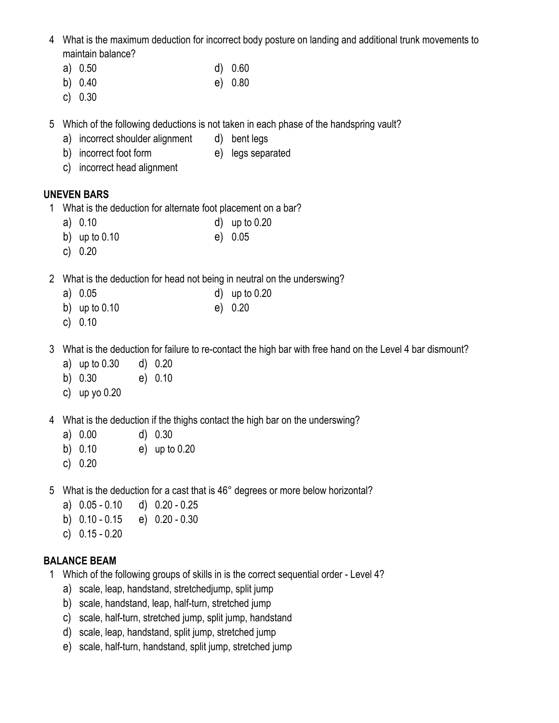- 4 What is the maximum deduction for incorrect body posture on landing and additional trunk movements to maintain balance?
	- a) 0.50 d) 0.60
	- b) 0.40 e) 0.80
	- c) 0.30
- 5 Which of the following deductions is not taken in each phase of the handspring vault?
	- a) incorrect shoulder alignment d) bent legs
	- b) incorrect foot form e) legs separated
	- c) incorrect head alignment

## **UNEVEN BARS**

- 1 What is the deduction for alternate foot placement on a bar?
	-
	- a) 0.10 d) up to 0.20
	- b) up to 0.10 e) 0.05
	- c) 0.20
- 2 What is the deduction for head not being in neutral on the underswing?
	- a) 0.05 d) up to 0.20
	- b) up to 0.10 e) 0.20
	- c) 0.10
- 3 What is the deduction for failure to re-contact the high bar with free hand on the Level 4 bar dismount?
	- a) up to 0.30 d) 0.20
	- b) 0.30 e) 0.10
	- c) up yo 0.20
- 4 What is the deduction if the thighs contact the high bar on the underswing?
	- a) 0.00 d) 0.30
	- b) 0.10 e) up to 0.20
	- c) 0.20
- 5 What is the deduction for a cast that is 46° degrees or more below horizontal?
	- a) 0.05 0.10 d) 0.20 0.25
	- b) 0.10 0.15 e) 0.20 0.30
	- c) 0.15 0.20

# **BALANCE BEAM**

- 1 Which of the following groups of skills in is the correct sequential order Level 4?
	- a) scale, leap, handstand, stretchedjump, split jump
	- b) scale, handstand, leap, half-turn, stretched jump
	- c) scale, half-turn, stretched jump, split jump, handstand
	- d) scale, leap, handstand, split jump, stretched jump
	- e) scale, half-turn, handstand, split jump, stretched jump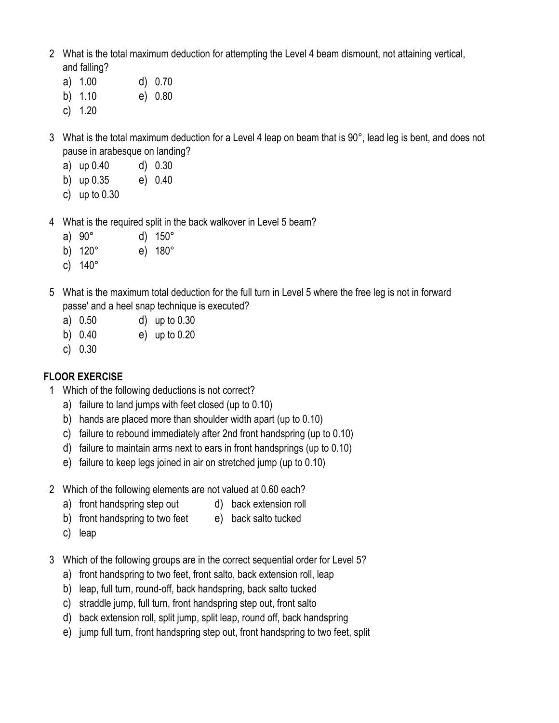- 2 What is the total maximum deduction for attempting the Level 4 beam dismount, not attaining vertical, and falling?
	- a) 1.00 d) 0.70 b) 1.10 e) 0.80
	- c) 1.20
- 3 What is the total maximum deduction for a Level 4 leap on beam that is 90°, lead leg is bent, and does not pause in arabesque on landing?
	- a) up 0.40 d) 0.30
	- b) up 0.35 e) 0.40
	- c) up to 0.30
- 4 What is the required split in the back walkover in Level 5 beam?
	- a) 90° d) 150°
	- b) 120° e) 180°
	- c) 140°
- 5 What is the maximum total deduction for the full turn in Level 5 where the free leg is not in forward passe' and a heel snap technique is executed?
	- a) 0.50 d) up to 0.30
	- b) 0.40 e) up to 0.20
	- c) 0.30

# **FLOOR EXERCISE**

- 1 Which of the following deductions is not correct?
	- a) failure to land jumps with feet closed (up to 0.10)
	- b) hands are placed more than shoulder width apart (up to 0.10)
	- c) failure to rebound immediately after 2nd front handspring (up to 0.10)
	- d) failure to maintain arms next to ears in front handsprings (up to 0.10)
	- e) failure to keep legs joined in air on stretched jump (up to 0.10)
- 2 Which of the following elements are not valued at 0.60 each?
	- a) front handspring step out d) back extension roll
	- b) front handspring to two feet e) back salto tucked
	- c) leap
- 3 Which of the following groups are in the correct sequential order for Level 5?
	- a) front handspring to two feet, front salto, back extension roll, leap
	- b) leap, full turn, round-off, back handspring, back salto tucked
	- c) straddle jump, full turn, front handspring step out, front salto
	- d) back extension roll, split jump, split leap, round off, back handspring
	- e) jump full turn, front handspring step out, front handspring to two feet, split